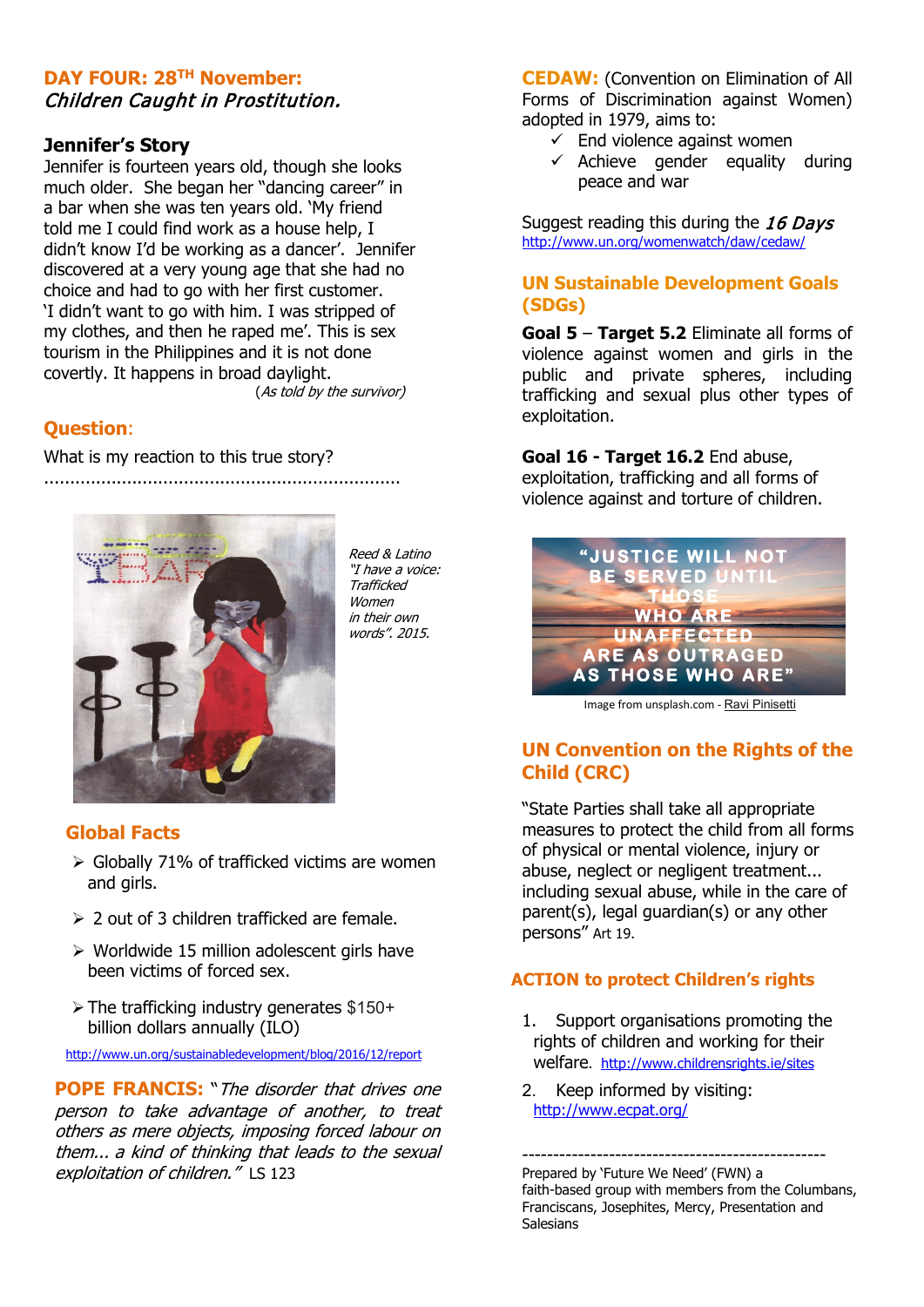#### **DAY FOUR: 28TH November:**  Children Caught in Prostitution.

#### **Jennifer's Story**

Jennifer is fourteen years old, though she looks much older. She began her "dancing career" in a bar when she was ten years old. 'My friend told me I could find work as a house help, I didn't know I'd be working as a dancer'. Jennifer discovered at a very young age that she had no choice and had to go with her first customer. 'I didn't want to go with him. I was stripped of my clothes, and then he raped me'. This is sex tourism in the Philippines and it is not done covertly. It happens in broad daylight. (As told by the survivor)

#### **Question**:

What is my reaction to this true story?

.....................................................................



Reed & Latino "I have a voice: Trafficked Women in their own words". 2015.

#### **Global Facts**

- $\triangleright$  Globally 71% of trafficked victims are women and girls.
- $\geq 2$  out of 3 children trafficked are female.
- $\triangleright$  Worldwide 15 million adolescent girls have been victims of forced sex.
- $\triangleright$  The trafficking industry generates \$150+ billion dollars annually (ILO)

<http://www.un.org/sustainabledevelopment/blog/2016/12/report>

**POPE FRANCIS:** "The disorder that drives one person to take advantage of another, to treat others as mere objects, imposing forced labour on them... a kind of thinking that leads to the sexual exploitation of children." LS 123

**CEDAW:** (Convention on Elimination of All Forms of Discrimination against Women) adopted in 1979, aims to:

- $\checkmark$  End violence against women
- $\checkmark$  Achieve gender equality during peace and war

Suggest reading this during the 16 Days <http://www.un.org/womenwatch/daw/cedaw/>

#### **UN Sustainable Development Goals (SDGs)**

**Goal 5** – **Target 5.2** Eliminate all forms of violence against women and girls in the public and private spheres, including trafficking and sexual plus other types of exploitation.

**Goal 16 - Target 16.2** End abuse, exploitation, trafficking and all forms of violence against and torture of children.



Image from unsplash.com - [Ravi Pinisetti](https://unsplash.com/@ravipinisetti)

### **UN Convention on the Rights of the Child (CRC)**

"State Parties shall take all appropriate measures to protect the child from all forms of physical or mental violence, injury or abuse, neglect or negligent treatment... including sexual abuse, while in the care of parent(s), legal guardian(s) or any other persons" Art 19.

#### **ACTION to protect Children's rights**

- 1. Support organisations promoting the rights of children and working for their welfare. <http://www.childrensrights.ie/sites>
- 2. Keep informed by visiting: <http://www.ecpat.org/>

------------------------------------------------- Prepared by 'Future We Need' (FWN) a faith-based group with members from the Columbans, Franciscans, Josephites, Mercy, Presentation and Salesians